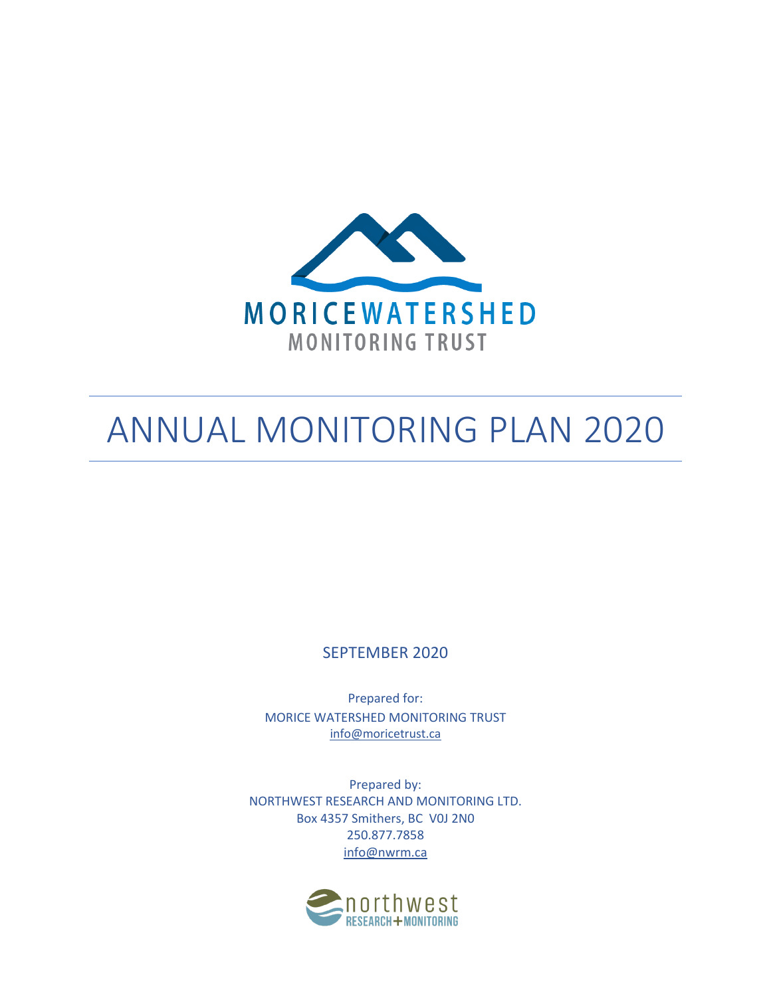

# ANNUAL MONITORING PLAN 2020

SEPTEMBER 2020

Prepared for: MORICE WATERSHED MONITORING TRUST info@moricetrust.ca

Prepared by: NORTHWEST RESEARCH AND MONITORING LTD. Box 4357 Smithers, BC V0J 2N0 250.877.7858 info@nwrm.ca

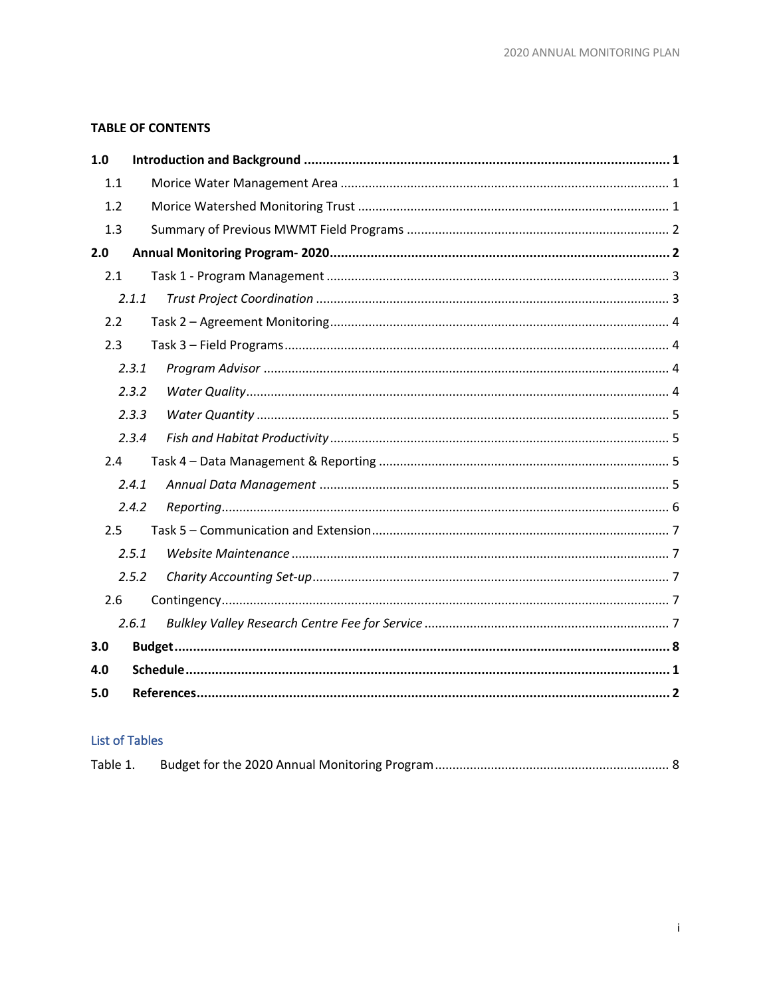# **TABLE OF CONTENTS**

| 1.0 |       |  |
|-----|-------|--|
| 1.1 |       |  |
| 1.2 |       |  |
| 1.3 |       |  |
| 2.0 |       |  |
| 2.1 |       |  |
|     | 2.1.1 |  |
| 2.2 |       |  |
| 2.3 |       |  |
|     | 2.3.1 |  |
|     | 2.3.2 |  |
|     | 2.3.3 |  |
|     | 2.3.4 |  |
| 2.4 |       |  |
|     | 2.4.1 |  |
|     | 2.4.2 |  |
| 2.5 |       |  |
|     | 2.5.1 |  |
|     | 2.5.2 |  |
| 2.6 |       |  |
|     | 2.6.1 |  |
| 3.0 |       |  |
| 4.0 |       |  |
| 5.0 |       |  |

# **List of Tables**

| Table 1. |  |  |  |
|----------|--|--|--|
|----------|--|--|--|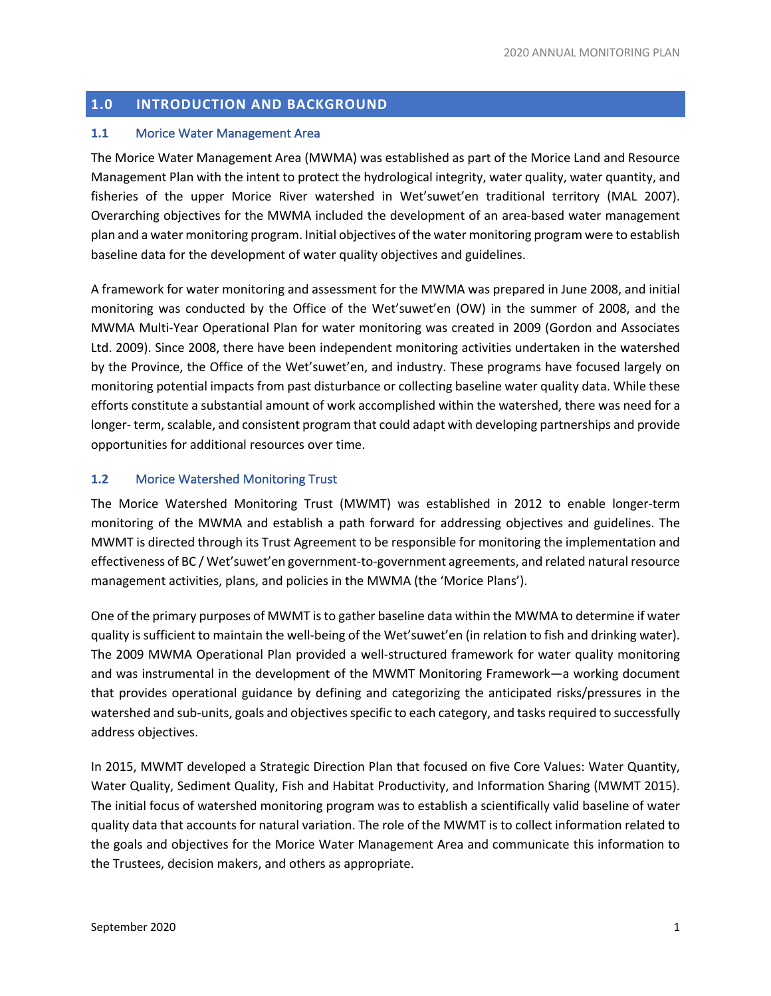#### **1.0 INTRODUCTION AND BACKGROUND**

#### **1.1** Morice Water Management Area

The Morice Water Management Area (MWMA) was established as part of the Morice Land and Resource Management Plan with the intent to protect the hydrological integrity, water quality, water quantity, and fisheries of the upper Morice River watershed in Wet'suwet'en traditional territory (MAL 2007). Overarching objectives for the MWMA included the development of an area-based water management plan and a water monitoring program. Initial objectives of the water monitoring program were to establish baseline data for the development of water quality objectives and guidelines.

A framework for water monitoring and assessment for the MWMA was prepared in June 2008, and initial monitoring was conducted by the Office of the Wet'suwet'en (OW) in the summer of 2008, and the MWMA Multi-Year Operational Plan for water monitoring was created in 2009 (Gordon and Associates Ltd. 2009). Since 2008, there have been independent monitoring activities undertaken in the watershed by the Province, the Office of the Wet'suwet'en, and industry. These programs have focused largely on monitoring potential impacts from past disturbance or collecting baseline water quality data. While these efforts constitute a substantial amount of work accomplished within the watershed, there was need for a longer- term, scalable, and consistent program that could adapt with developing partnerships and provide opportunities for additional resources over time.

#### **1.2** Morice Watershed Monitoring Trust

The Morice Watershed Monitoring Trust (MWMT) was established in 2012 to enable longer-term monitoring of the MWMA and establish a path forward for addressing objectives and guidelines. The MWMT is directed through its Trust Agreement to be responsible for monitoring the implementation and effectiveness of BC / Wet'suwet'en government-to-government agreements, and related natural resource management activities, plans, and policies in the MWMA (the 'Morice Plans').

One of the primary purposes of MWMT is to gather baseline data within the MWMA to determine if water quality is sufficient to maintain the well-being of the Wet'suwet'en (in relation to fish and drinking water). The 2009 MWMA Operational Plan provided a well-structured framework for water quality monitoring and was instrumental in the development of the MWMT Monitoring Framework—a working document that provides operational guidance by defining and categorizing the anticipated risks/pressures in the watershed and sub-units, goals and objectives specific to each category, and tasks required to successfully address objectives.

In 2015, MWMT developed a Strategic Direction Plan that focused on five Core Values: Water Quantity, Water Quality, Sediment Quality, Fish and Habitat Productivity, and Information Sharing (MWMT 2015). The initial focus of watershed monitoring program was to establish a scientifically valid baseline of water quality data that accounts for natural variation. The role of the MWMT is to collect information related to the goals and objectives for the Morice Water Management Area and communicate this information to the Trustees, decision makers, and others as appropriate.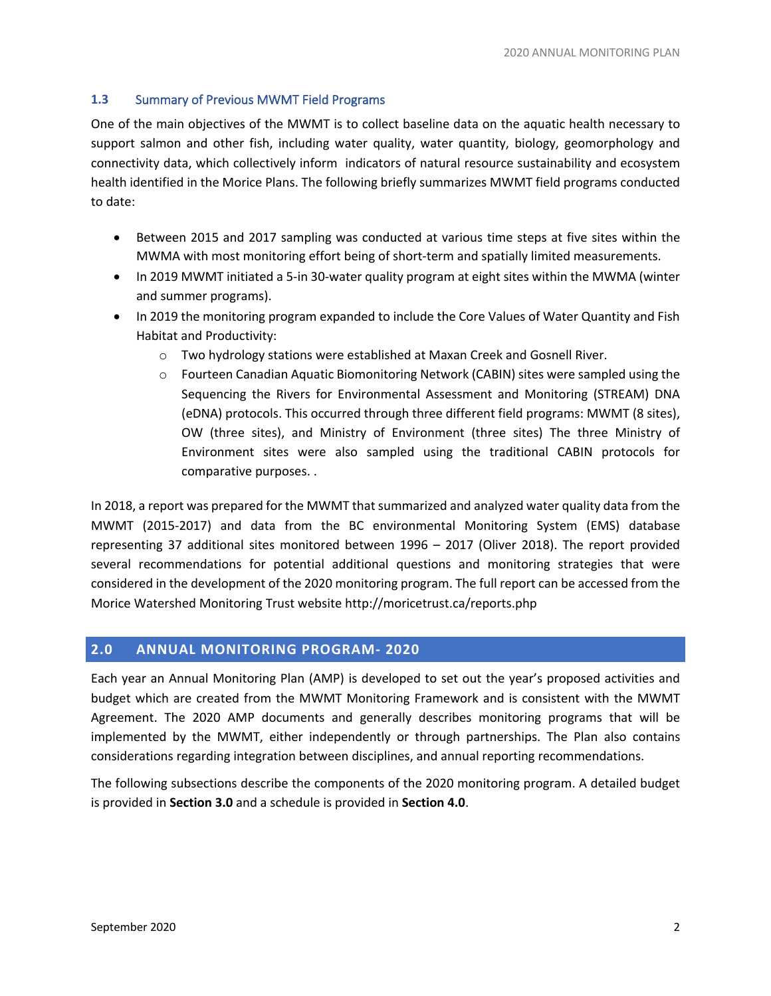#### **1.3** Summary of Previous MWMT Field Programs

One of the main objectives of the MWMT is to collect baseline data on the aquatic health necessary to support salmon and other fish, including water quality, water quantity, biology, geomorphology and connectivity data, which collectively inform indicators of natural resource sustainability and ecosystem health identified in the Morice Plans. The following briefly summarizes MWMT field programs conducted to date:

- Between 2015 and 2017 sampling was conducted at various time steps at five sites within the MWMA with most monitoring effort being of short-term and spatially limited measurements.
- In 2019 MWMT initiated a 5-in 30-water quality program at eight sites within the MWMA (winter and summer programs).
- In 2019 the monitoring program expanded to include the Core Values of Water Quantity and Fish Habitat and Productivity:
	- o Two hydrology stations were established at Maxan Creek and Gosnell River.
	- o Fourteen Canadian Aquatic Biomonitoring Network (CABIN) sites were sampled using the Sequencing the Rivers for Environmental Assessment and Monitoring (STREAM) DNA (eDNA) protocols. This occurred through three different field programs: MWMT (8 sites), OW (three sites), and Ministry of Environment (three sites) The three Ministry of Environment sites were also sampled using the traditional CABIN protocols for comparative purposes. .

In 2018, a report was prepared for the MWMT that summarized and analyzed water quality data from the MWMT (2015-2017) and data from the BC environmental Monitoring System (EMS) database representing 37 additional sites monitored between 1996 – 2017 (Oliver 2018). The report provided several recommendations for potential additional questions and monitoring strategies that were considered in the development of the 2020 monitoring program. The full report can be accessed from the Morice Watershed Monitoring Trust website http://moricetrust.ca/reports.php

# **2.0 ANNUAL MONITORING PROGRAM- 2020**

Each year an Annual Monitoring Plan (AMP) is developed to set out the year's proposed activities and budget which are created from the MWMT Monitoring Framework and is consistent with the MWMT Agreement. The 2020 AMP documents and generally describes monitoring programs that will be implemented by the MWMT, either independently or through partnerships. The Plan also contains considerations regarding integration between disciplines, and annual reporting recommendations.

The following subsections describe the components of the 2020 monitoring program. A detailed budget is provided in **Section 3.0** and a schedule is provided in **Section 4.0**.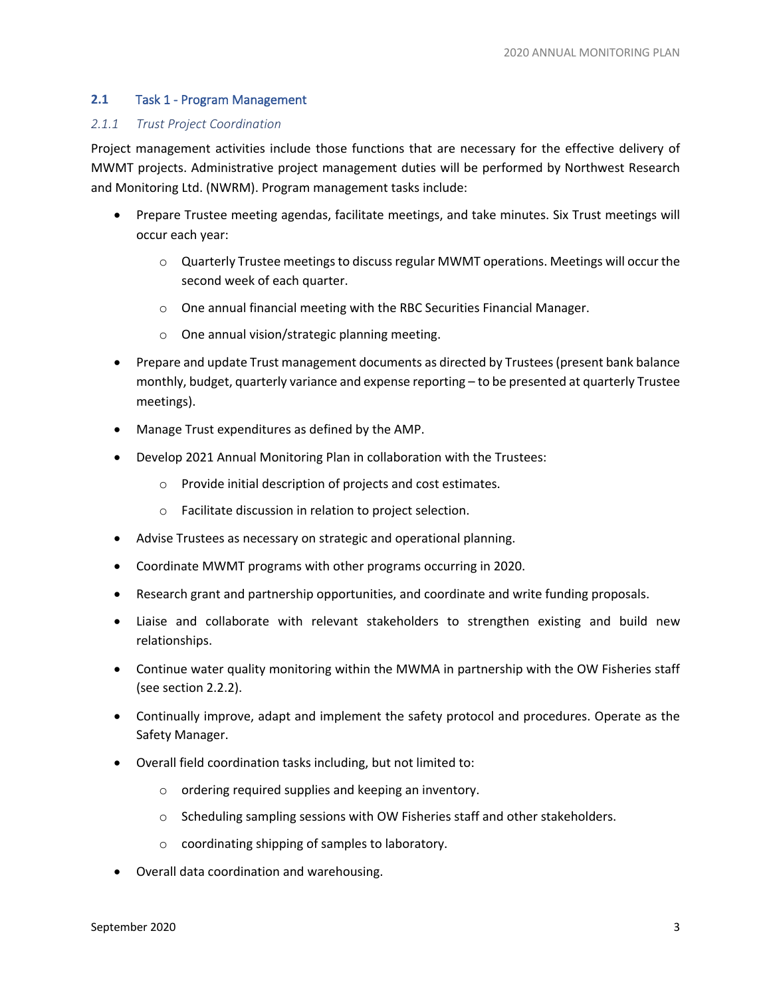#### **2.1** Task 1 - Program Management

#### *2.1.1 Trust Project Coordination*

Project management activities include those functions that are necessary for the effective delivery of MWMT projects. Administrative project management duties will be performed by Northwest Research and Monitoring Ltd. (NWRM). Program management tasks include:

- Prepare Trustee meeting agendas, facilitate meetings, and take minutes. Six Trust meetings will occur each year:
	- o Quarterly Trustee meetings to discuss regular MWMT operations. Meetings will occur the second week of each quarter.
	- o One annual financial meeting with the RBC Securities Financial Manager.
	- o One annual vision/strategic planning meeting.
- Prepare and update Trust management documents as directed by Trustees (present bank balance monthly, budget, quarterly variance and expense reporting – to be presented at quarterly Trustee meetings).
- Manage Trust expenditures as defined by the AMP.
- Develop 2021 Annual Monitoring Plan in collaboration with the Trustees:
	- o Provide initial description of projects and cost estimates.
	- o Facilitate discussion in relation to project selection.
- Advise Trustees as necessary on strategic and operational planning.
- Coordinate MWMT programs with other programs occurring in 2020.
- Research grant and partnership opportunities, and coordinate and write funding proposals.
- Liaise and collaborate with relevant stakeholders to strengthen existing and build new relationships.
- Continue water quality monitoring within the MWMA in partnership with the OW Fisheries staff (see section 2.2.2).
- Continually improve, adapt and implement the safety protocol and procedures. Operate as the Safety Manager.
- Overall field coordination tasks including, but not limited to:
	- o ordering required supplies and keeping an inventory.
	- o Scheduling sampling sessions with OW Fisheries staff and other stakeholders.
	- o coordinating shipping of samples to laboratory.
- Overall data coordination and warehousing.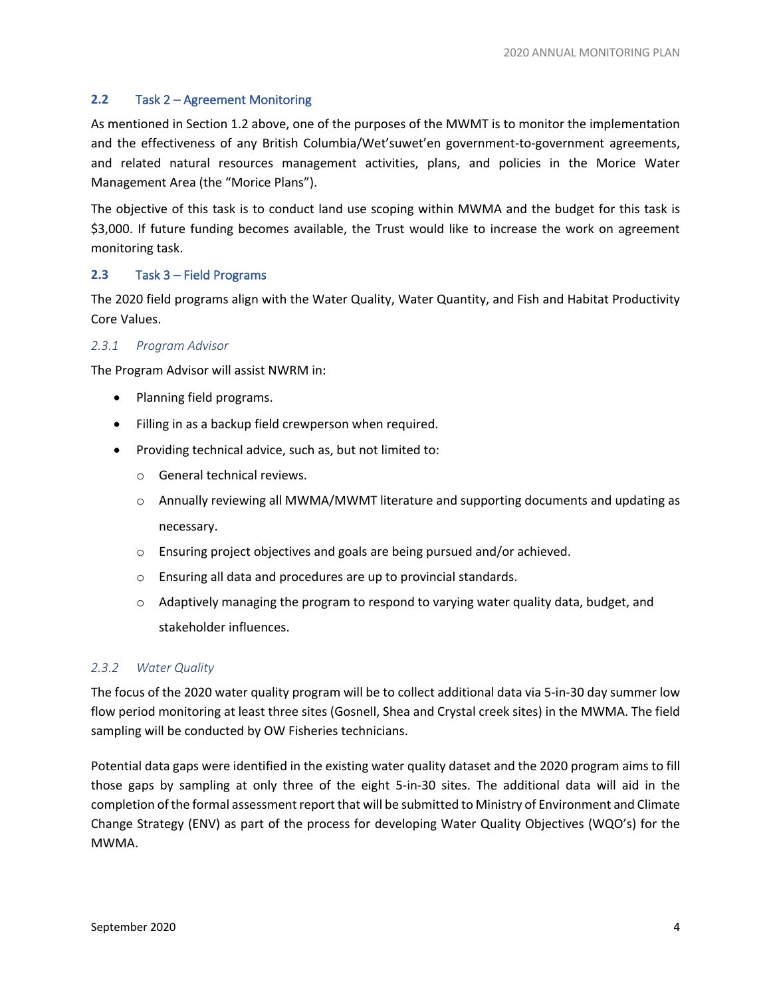#### **2.2** Task 2 – Agreement Monitoring

As mentioned in Section 1.2 above, one of the purposes of the MWMT is to monitor the implementation and the effectiveness of any British Columbia/Wet'suwet'en government-to-government agreements, and related natural resources management activities, plans, and policies in the Morice Water Management Area (the "Morice Plans").

The objective of this task is to conduct land use scoping within MWMA and the budget for this task is \$3,000. If future funding becomes available, the Trust would like to increase the work on agreement monitoring task.

#### **2.3** Task 3 – Field Programs

The 2020 field programs align with the Water Quality, Water Quantity, and Fish and Habitat Productivity Core Values.

#### *2.3.1 Program Advisor*

The Program Advisor will assist NWRM in:

- Planning field programs.
- Filling in as a backup field crewperson when required.
- Providing technical advice, such as, but not limited to:
	- o General technical reviews.
	- $\circ$  Annually reviewing all MWMA/MWMT literature and supporting documents and updating as necessary.
	- o Ensuring project objectives and goals are being pursued and/or achieved.
	- o Ensuring all data and procedures are up to provincial standards.
	- $\circ$  Adaptively managing the program to respond to varying water quality data, budget, and stakeholder influences.

#### *2.3.2 Water Quality*

The focus of the 2020 water quality program will be to collect additional data via 5-in-30 day summer low flow period monitoring at least three sites (Gosnell, Shea and Crystal creek sites) in the MWMA. The field sampling will be conducted by OW Fisheries technicians.

Potential data gaps were identified in the existing water quality dataset and the 2020 program aims to fill those gaps by sampling at only three of the eight 5-in-30 sites. The additional data will aid in the completion of the formal assessment report that will be submitted to Ministry of Environment and Climate Change Strategy (ENV) as part of the process for developing Water Quality Objectives (WQO's) for the MWMA.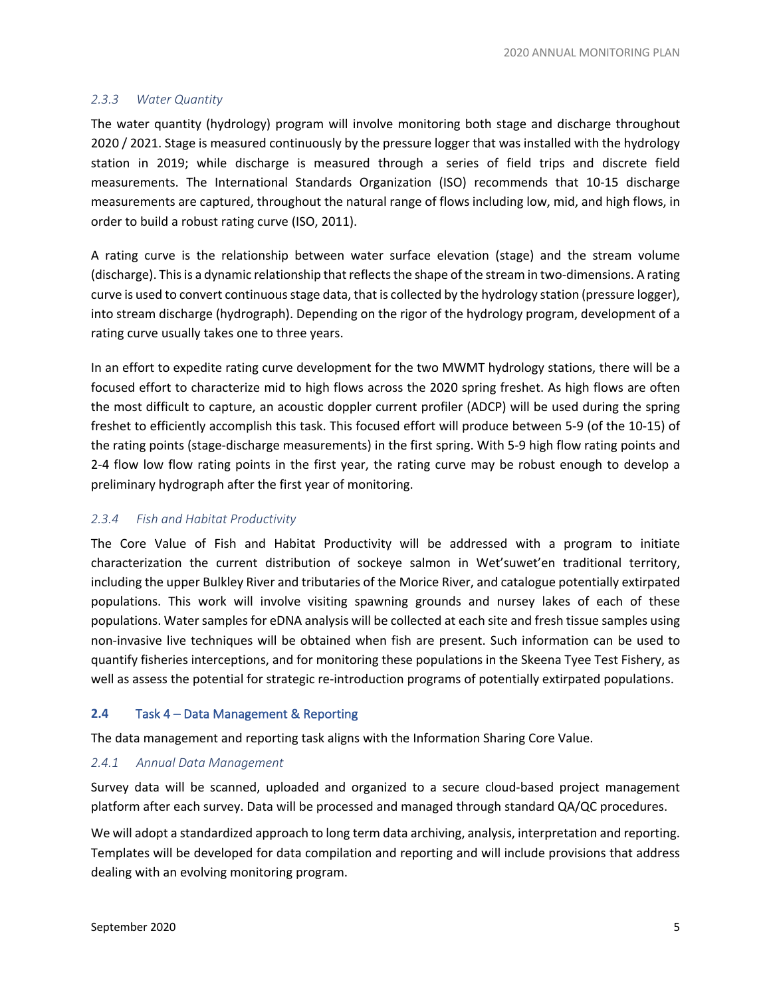#### *2.3.3 Water Quantity*

The water quantity (hydrology) program will involve monitoring both stage and discharge throughout 2020 / 2021. Stage is measured continuously by the pressure logger that was installed with the hydrology station in 2019; while discharge is measured through a series of field trips and discrete field measurements. The International Standards Organization (ISO) recommends that 10-15 discharge measurements are captured, throughout the natural range of flows including low, mid, and high flows, in order to build a robust rating curve (ISO, 2011).

A rating curve is the relationship between water surface elevation (stage) and the stream volume (discharge). This is a dynamic relationship that reflects the shape of the stream in two-dimensions. A rating curve is used to convert continuous stage data, that is collected by the hydrology station (pressure logger), into stream discharge (hydrograph). Depending on the rigor of the hydrology program, development of a rating curve usually takes one to three years.

In an effort to expedite rating curve development for the two MWMT hydrology stations, there will be a focused effort to characterize mid to high flows across the 2020 spring freshet. As high flows are often the most difficult to capture, an acoustic doppler current profiler (ADCP) will be used during the spring freshet to efficiently accomplish this task. This focused effort will produce between 5-9 (of the 10-15) of the rating points (stage-discharge measurements) in the first spring. With 5-9 high flow rating points and 2-4 flow low flow rating points in the first year, the rating curve may be robust enough to develop a preliminary hydrograph after the first year of monitoring.

#### *2.3.4 Fish and Habitat Productivity*

The Core Value of Fish and Habitat Productivity will be addressed with a program to initiate characterization the current distribution of sockeye salmon in Wet'suwet'en traditional territory, including the upper Bulkley River and tributaries of the Morice River, and catalogue potentially extirpated populations. This work will involve visiting spawning grounds and nursey lakes of each of these populations. Water samples for eDNA analysis will be collected at each site and fresh tissue samples using non-invasive live techniques will be obtained when fish are present. Such information can be used to quantify fisheries interceptions, and for monitoring these populations in the Skeena Tyee Test Fishery, as well as assess the potential for strategic re-introduction programs of potentially extirpated populations.

#### **2.4** Task 4 – Data Management & Reporting

The data management and reporting task aligns with the Information Sharing Core Value.

#### *2.4.1 Annual Data Management*

Survey data will be scanned, uploaded and organized to a secure cloud-based project management platform after each survey. Data will be processed and managed through standard QA/QC procedures.

We will adopt a standardized approach to long term data archiving, analysis, interpretation and reporting. Templates will be developed for data compilation and reporting and will include provisions that address dealing with an evolving monitoring program.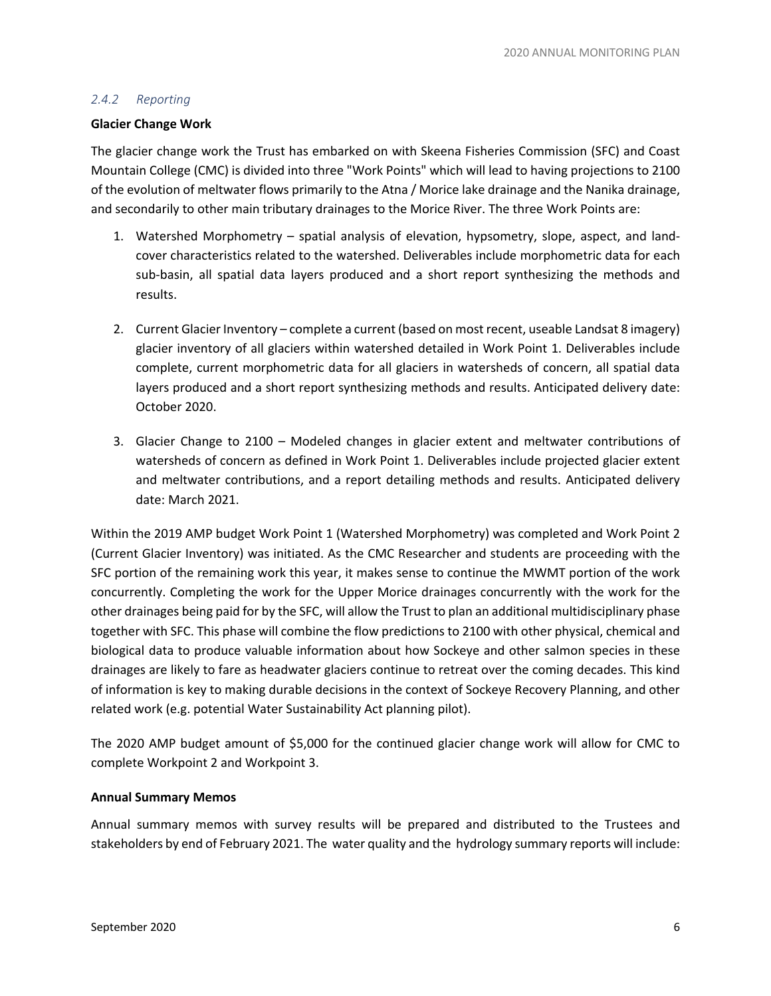#### *2.4.2 Reporting*

#### **Glacier Change Work**

The glacier change work the Trust has embarked on with Skeena Fisheries Commission (SFC) and Coast Mountain College (CMC) is divided into three "Work Points" which will lead to having projections to 2100 of the evolution of meltwater flows primarily to the Atna / Morice lake drainage and the Nanika drainage, and secondarily to other main tributary drainages to the Morice River. The three Work Points are:

- 1. Watershed Morphometry spatial analysis of elevation, hypsometry, slope, aspect, and landcover characteristics related to the watershed. Deliverables include morphometric data for each sub-basin, all spatial data layers produced and a short report synthesizing the methods and results.
- 2. Current Glacier Inventory complete a current (based on most recent, useable Landsat 8 imagery) glacier inventory of all glaciers within watershed detailed in Work Point 1. Deliverables include complete, current morphometric data for all glaciers in watersheds of concern, all spatial data layers produced and a short report synthesizing methods and results. Anticipated delivery date: October 2020.
- 3. Glacier Change to 2100 Modeled changes in glacier extent and meltwater contributions of watersheds of concern as defined in Work Point 1. Deliverables include projected glacier extent and meltwater contributions, and a report detailing methods and results. Anticipated delivery date: March 2021.

Within the 2019 AMP budget Work Point 1 (Watershed Morphometry) was completed and Work Point 2 (Current Glacier Inventory) was initiated. As the CMC Researcher and students are proceeding with the SFC portion of the remaining work this year, it makes sense to continue the MWMT portion of the work concurrently. Completing the work for the Upper Morice drainages concurrently with the work for the other drainages being paid for by the SFC, will allow the Trust to plan an additional multidisciplinary phase together with SFC. This phase will combine the flow predictions to 2100 with other physical, chemical and biological data to produce valuable information about how Sockeye and other salmon species in these drainages are likely to fare as headwater glaciers continue to retreat over the coming decades. This kind of information is key to making durable decisions in the context of Sockeye Recovery Planning, and other related work (e.g. potential Water Sustainability Act planning pilot).

The 2020 AMP budget amount of \$5,000 for the continued glacier change work will allow for CMC to complete Workpoint 2 and Workpoint 3.

#### **Annual Summary Memos**

Annual summary memos with survey results will be prepared and distributed to the Trustees and stakeholders by end of February 2021. The water quality and the hydrology summary reports will include: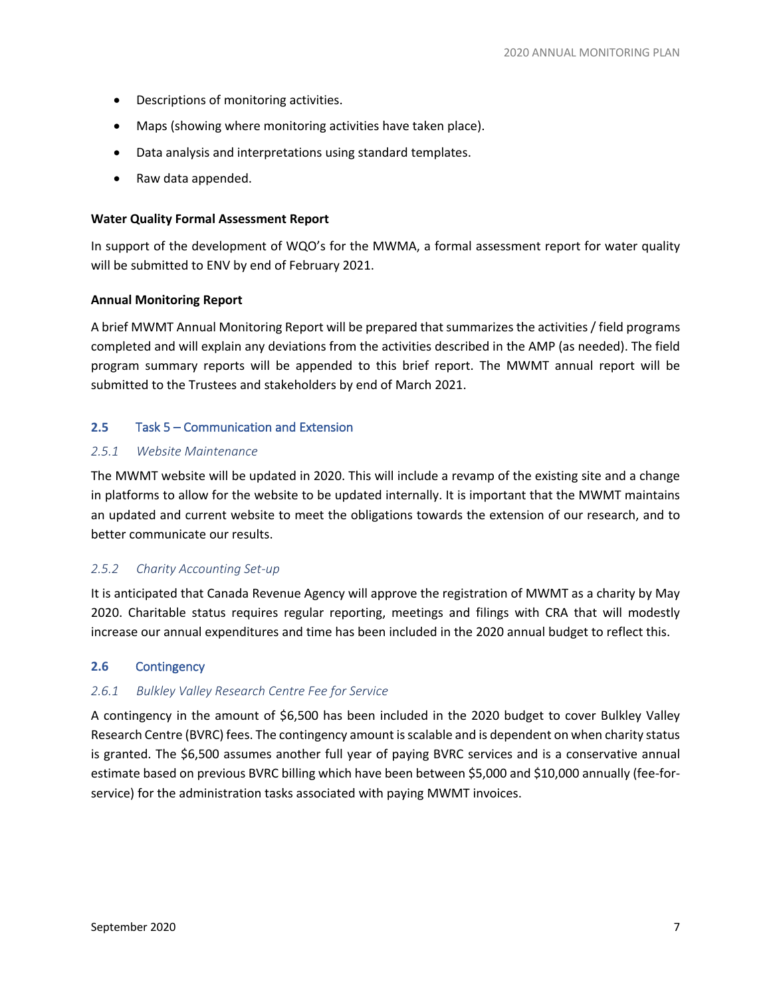- Descriptions of monitoring activities.
- Maps (showing where monitoring activities have taken place).
- Data analysis and interpretations using standard templates.
- Raw data appended.

#### **Water Quality Formal Assessment Report**

In support of the development of WQO's for the MWMA, a formal assessment report for water quality will be submitted to ENV by end of February 2021.

#### **Annual Monitoring Report**

A brief MWMT Annual Monitoring Report will be prepared that summarizes the activities / field programs completed and will explain any deviations from the activities described in the AMP (as needed). The field program summary reports will be appended to this brief report. The MWMT annual report will be submitted to the Trustees and stakeholders by end of March 2021.

#### **2.5** Task 5 – Communication and Extension

#### *2.5.1 Website Maintenance*

The MWMT website will be updated in 2020. This will include a revamp of the existing site and a change in platforms to allow for the website to be updated internally. It is important that the MWMT maintains an updated and current website to meet the obligations towards the extension of our research, and to better communicate our results.

#### *2.5.2 Charity Accounting Set-up*

It is anticipated that Canada Revenue Agency will approve the registration of MWMT as a charity by May 2020. Charitable status requires regular reporting, meetings and filings with CRA that will modestly increase our annual expenditures and time has been included in the 2020 annual budget to reflect this.

#### **2.6** Contingency

#### *2.6.1 Bulkley Valley Research Centre Fee for Service*

A contingency in the amount of \$6,500 has been included in the 2020 budget to cover Bulkley Valley Research Centre (BVRC) fees. The contingency amount is scalable and is dependent on when charity status is granted. The \$6,500 assumes another full year of paying BVRC services and is a conservative annual estimate based on previous BVRC billing which have been between \$5,000 and \$10,000 annually (fee-forservice) for the administration tasks associated with paying MWMT invoices.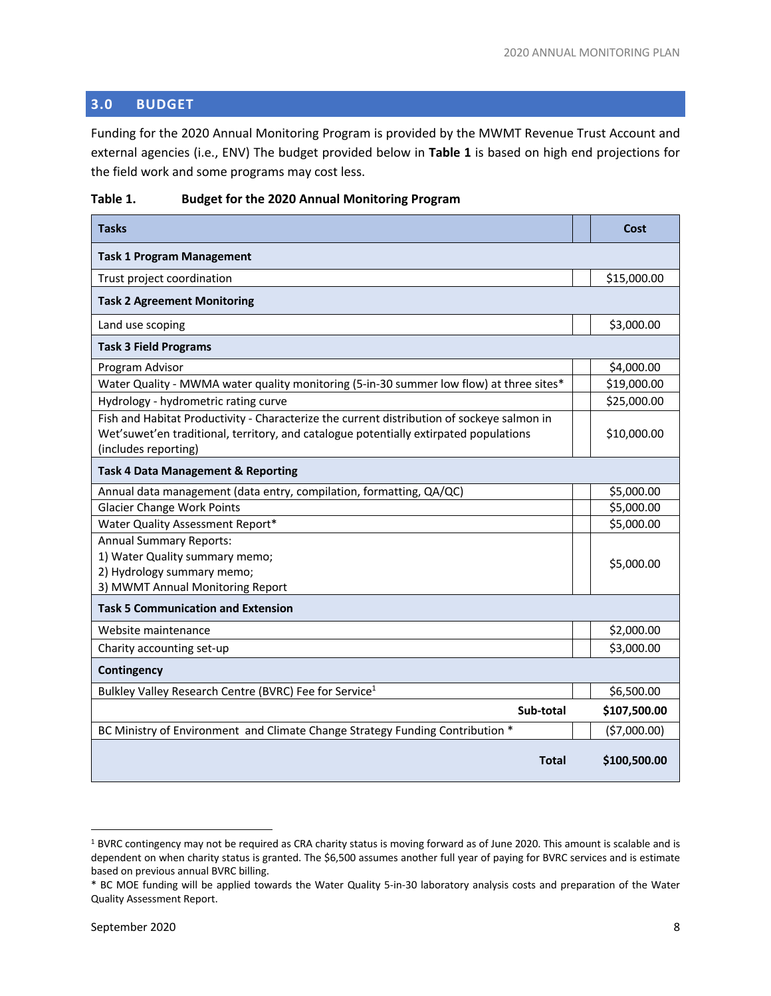# **3.0 BUDGET**

Funding for the 2020 Annual Monitoring Program is provided by the MWMT Revenue Trust Account and external agencies (i.e., ENV) The budget provided below in **Table 1** is based on high end projections for the field work and some programs may cost less.

| <b>Tasks</b>                                                                                                                                                                                                |  | Cost         |  |  |  |  |  |
|-------------------------------------------------------------------------------------------------------------------------------------------------------------------------------------------------------------|--|--------------|--|--|--|--|--|
| <b>Task 1 Program Management</b>                                                                                                                                                                            |  |              |  |  |  |  |  |
| Trust project coordination                                                                                                                                                                                  |  | \$15,000.00  |  |  |  |  |  |
| <b>Task 2 Agreement Monitoring</b>                                                                                                                                                                          |  |              |  |  |  |  |  |
| Land use scoping                                                                                                                                                                                            |  | \$3,000.00   |  |  |  |  |  |
| <b>Task 3 Field Programs</b>                                                                                                                                                                                |  |              |  |  |  |  |  |
| Program Advisor                                                                                                                                                                                             |  | \$4,000.00   |  |  |  |  |  |
| Water Quality - MWMA water quality monitoring (5-in-30 summer low flow) at three sites*                                                                                                                     |  | \$19,000.00  |  |  |  |  |  |
| Hydrology - hydrometric rating curve                                                                                                                                                                        |  | \$25,000.00  |  |  |  |  |  |
| Fish and Habitat Productivity - Characterize the current distribution of sockeye salmon in<br>Wet'suwet'en traditional, territory, and catalogue potentially extirpated populations<br>(includes reporting) |  | \$10,000.00  |  |  |  |  |  |
| <b>Task 4 Data Management &amp; Reporting</b>                                                                                                                                                               |  |              |  |  |  |  |  |
| Annual data management (data entry, compilation, formatting, QA/QC)                                                                                                                                         |  | \$5,000.00   |  |  |  |  |  |
| <b>Glacier Change Work Points</b>                                                                                                                                                                           |  | \$5,000.00   |  |  |  |  |  |
| Water Quality Assessment Report*                                                                                                                                                                            |  | \$5,000.00   |  |  |  |  |  |
| <b>Annual Summary Reports:</b><br>1) Water Quality summary memo;<br>2) Hydrology summary memo;<br>3) MWMT Annual Monitoring Report                                                                          |  | \$5,000.00   |  |  |  |  |  |
| <b>Task 5 Communication and Extension</b>                                                                                                                                                                   |  |              |  |  |  |  |  |
| Website maintenance                                                                                                                                                                                         |  | \$2,000.00   |  |  |  |  |  |
| Charity accounting set-up                                                                                                                                                                                   |  | \$3,000.00   |  |  |  |  |  |
| Contingency                                                                                                                                                                                                 |  |              |  |  |  |  |  |
| Bulkley Valley Research Centre (BVRC) Fee for Service <sup>1</sup>                                                                                                                                          |  | \$6,500.00   |  |  |  |  |  |
| Sub-total                                                                                                                                                                                                   |  | \$107,500.00 |  |  |  |  |  |
| BC Ministry of Environment and Climate Change Strategy Funding Contribution *                                                                                                                               |  | (\$7,000.00) |  |  |  |  |  |
| Total                                                                                                                                                                                                       |  | \$100,500.00 |  |  |  |  |  |

#### **Table 1. Budget for the 2020 Annual Monitoring Program**

<sup>1</sup> BVRC contingency may not be required as CRA charity status is moving forward as of June 2020. This amount is scalable and is dependent on when charity status is granted. The \$6,500 assumes another full year of paying for BVRC services and is estimate based on previous annual BVRC billing.

<sup>\*</sup> BC MOE funding will be applied towards the Water Quality 5-in-30 laboratory analysis costs and preparation of the Water Quality Assessment Report.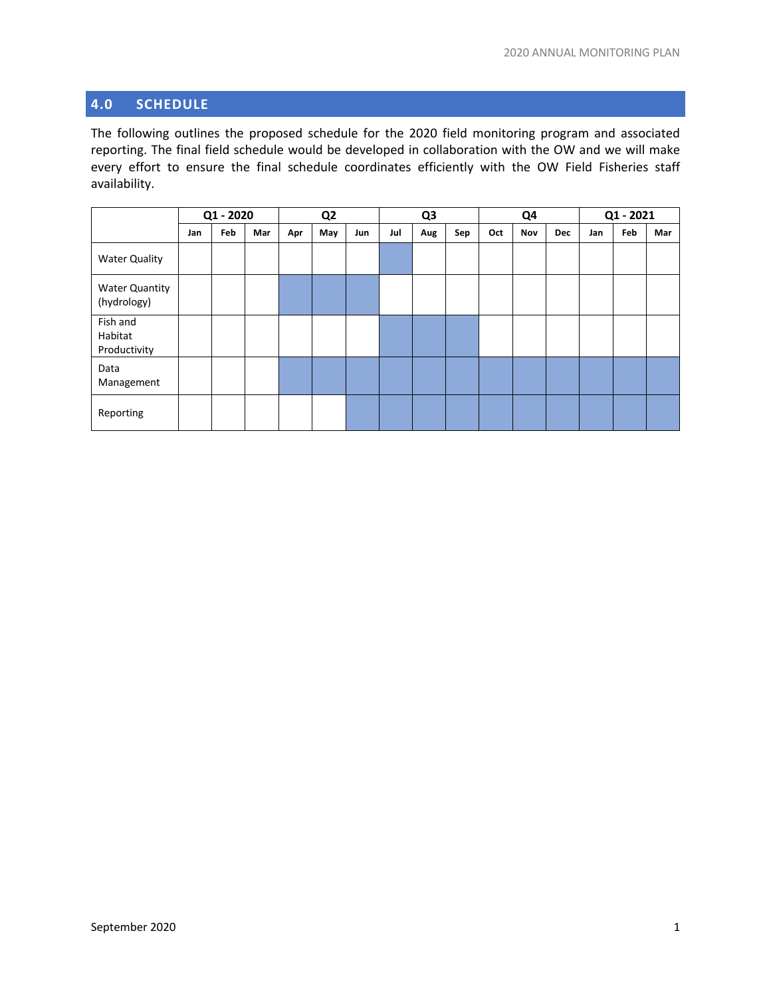# **4.0 SCHEDULE**

The following outlines the proposed schedule for the 2020 field monitoring program and associated reporting. The final field schedule would be developed in collaboration with the OW and we will make every effort to ensure the final schedule coordinates efficiently with the OW Field Fisheries staff availability.

|                                      | Q1 - 2020 |     |     | Q <sub>2</sub> |     |     | Q <sub>3</sub> |     |     | Q4  |     |            | Q1 - 2021 |     |     |
|--------------------------------------|-----------|-----|-----|----------------|-----|-----|----------------|-----|-----|-----|-----|------------|-----------|-----|-----|
|                                      | Jan       | Feb | Mar | Apr            | May | Jun | Jul            | Aug | Sep | Oct | Nov | <b>Dec</b> | Jan       | Feb | Mar |
| <b>Water Quality</b>                 |           |     |     |                |     |     |                |     |     |     |     |            |           |     |     |
| <b>Water Quantity</b><br>(hydrology) |           |     |     |                |     |     |                |     |     |     |     |            |           |     |     |
| Fish and<br>Habitat<br>Productivity  |           |     |     |                |     |     |                |     |     |     |     |            |           |     |     |
| Data<br>Management                   |           |     |     |                |     |     |                |     |     |     |     |            |           |     |     |
| Reporting                            |           |     |     |                |     |     |                |     |     |     |     |            |           |     |     |